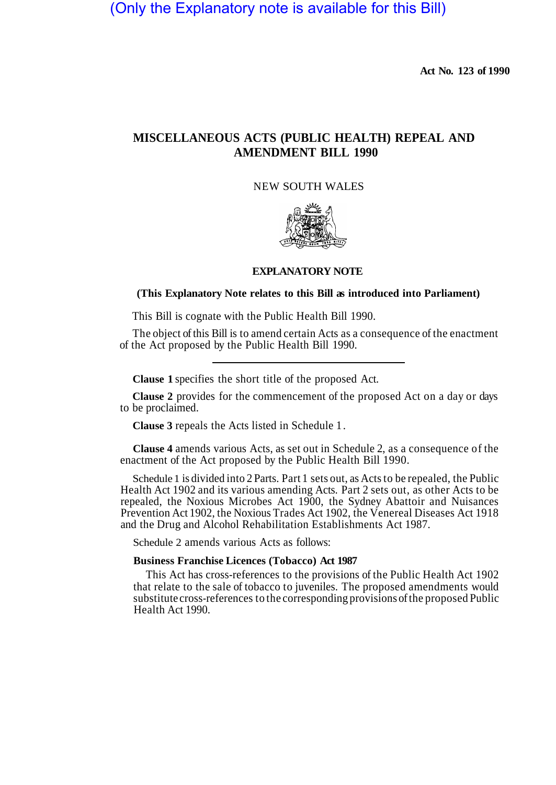# (Only the Explanatory note is available for this Bill)

**Act No. 123 of 1990** 

## **MISCELLANEOUS ACTS (PUBLIC HEALTH) REPEAL AND AMENDMENT BILL 1990**

NEW SOUTH WALES



#### **EXPLANATORY NOTE**

## **(This Explanatory Note relates to this Bill as introduced into Parliament)**

This Bill is cognate with the Public Health Bill 1990.

The object of this Bill is to amend certain Acts as a consequence of the enactment of the Act proposed by the Public Health Bill 1990.

**Clause 1** specifies the short title of the proposed Act.

**Clause 2** provides for the commencement of the proposed Act on a day or days to be proclaimed.

**Clause 3** repeals the Acts listed in Schedule 1.

**Clause 4** amends various Acts, as set out in Schedule 2, as a consequence of the enactment of the Act proposed by the Public Health Bill 1990.

Schedule 1 is divided into 2 Parts. Part 1 sets out, as Acts to be repealed, the Public Health Act 1902 and its various amending Acts. Part 2 sets out, as other Acts to be repealed, the Noxious Microbes Act 1900, the Sydney Abattoir and Nuisances Prevention Act 1902, the Noxious Trades Act 1902, the Venereal Diseases Act 1918 and the Drug and Alcohol Rehabilitation Establishments Act 1987.

Schedule 2 amends various Acts as follows:

## **Business Franchise Licences (Tobacco) Act 1987**

This Act has cross-references to the provisions of the Public Health Act 1902 that relate to the sale of tobacco to juveniles. The proposed amendments would substitute cross-references to the corresponding provisions of the proposed Public Health Act 1990.